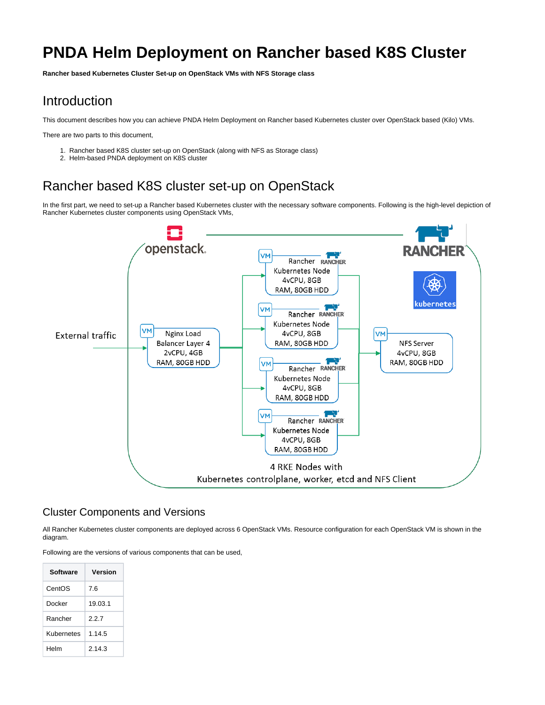# **PNDA Helm Deployment on Rancher based K8S Cluster**

**Rancher based Kubernetes Cluster Set-up on OpenStack VMs with NFS Storage class**

# Introduction

This document describes how you can achieve PNDA Helm Deployment on Rancher based Kubernetes cluster over OpenStack based (Kilo) VMs.

There are two parts to this document,

- 1. Rancher based K8S cluster set-up on OpenStack (along with NFS as Storage class)
- 2. Helm-based PNDA deployment on K8S cluster

# Rancher based K8S cluster set-up on OpenStack

In the first part, we need to set-up a Rancher based Kubernetes cluster with the necessary software components. Following is the high-level depiction of Rancher Kubernetes cluster components using OpenStack VMs,



### Cluster Components and Versions

All Rancher Kubernetes cluster components are deployed across 6 OpenStack VMs. Resource configuration for each OpenStack VM is shown in the diagram.

Following are the versions of various components that can be used,

| Software   | Version |
|------------|---------|
| CentOS     | 7.6     |
| Docker     | 19.03.1 |
| Rancher    | 227     |
| Kubernetes | 1.14.5  |
| Helm       | 2.14.3  |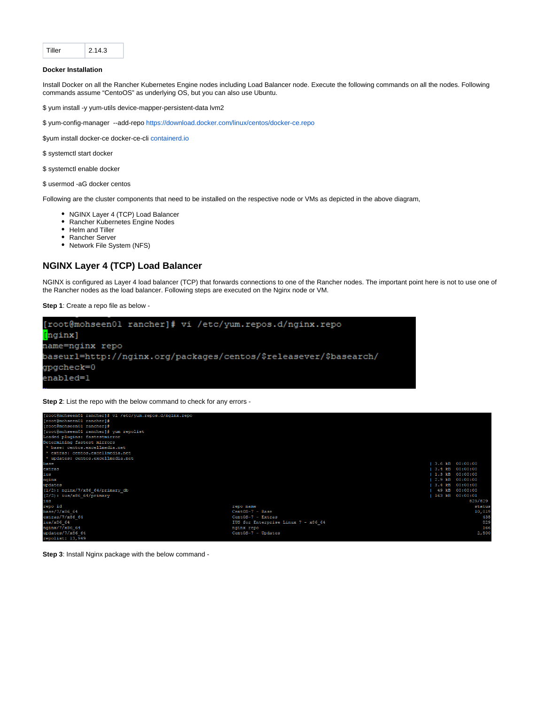| Tiller | 2.14.3 |
|--------|--------|
|        |        |

#### **Docker Installation**

Install Docker on all the Rancher Kubernetes Engine nodes including Load Balancer node. Execute the following commands on all the nodes. Following commands assume "CentoOS" as underlying OS, but you can also use Ubuntu.

\$ yum install -y yum-utils device-mapper-persistent-data lvm2

\$ yum-config-manager --add-repo<https://download.docker.com/linux/centos/docker-ce.repo>

\$yum install docker-ce docker-ce-cli [containerd.io](http://containerd.io)

\$ systemctl start docker

\$ systemctl enable docker

\$ usermod -aG docker centos

Following are the cluster components that need to be installed on the respective node or VMs as depicted in the above diagram,

- NGINX Layer 4 (TCP) Load Balancer
- Rancher Kubernetes Engine Nodes
- Helm and Tiller
- Rancher Server
- Network File System (NFS)

#### **NGINX Layer 4 (TCP) Load Balancer**

NGINX is configured as Layer 4 load balancer (TCP) that forwards connections to one of the Rancher nodes. The important point here is not to use one of the Rancher nodes as the load balancer. Following steps are executed on the Nginx node or VM.

**Step 1**: Create a repo file as below -



**Step 2**: List the repo with the below command to check for any errors -



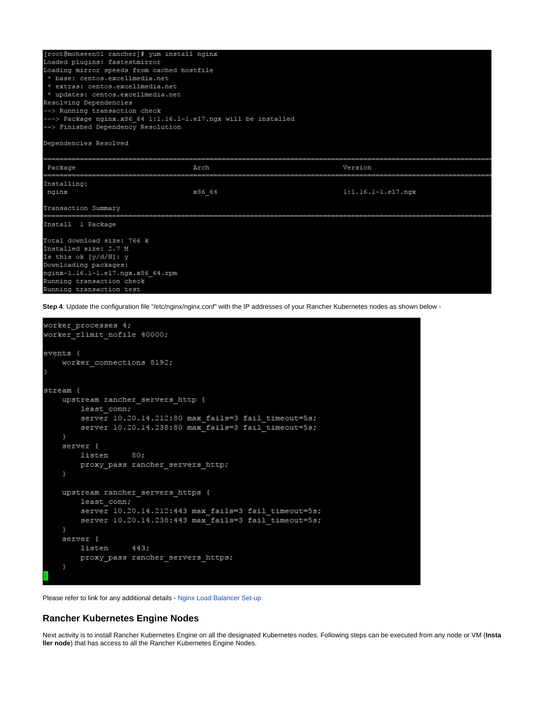| [root@mohseen01 rancher]# yum install nginx                           |        |                             |  |  |  |  |  |  |
|-----------------------------------------------------------------------|--------|-----------------------------|--|--|--|--|--|--|
| Loaded plugins: fastestmirror                                         |        |                             |  |  |  |  |  |  |
| Loading mirror speeds from cached hostfile                            |        |                             |  |  |  |  |  |  |
| * base: centos.excellmedia.net                                        |        |                             |  |  |  |  |  |  |
| * extras: centos.excellmedia.net<br>* updates: centos.excellmedia.net |        |                             |  |  |  |  |  |  |
|                                                                       |        |                             |  |  |  |  |  |  |
| --> Running transaction check                                         |        |                             |  |  |  |  |  |  |
| ---> Package nginx.x86 64 1:1.16.1-1.el7.ngx will be installed        |        |                             |  |  |  |  |  |  |
| --> Finished Dependency Resolution                                    |        |                             |  |  |  |  |  |  |
| Dependencies Resolved                                                 |        |                             |  |  |  |  |  |  |
|                                                                       |        |                             |  |  |  |  |  |  |
| Package                                                               | Arch   | Version                     |  |  |  |  |  |  |
| Installing:                                                           |        |                             |  |  |  |  |  |  |
| nginx                                                                 | x86 64 | $1:1.16.1 - 1.$ el $7.$ ngx |  |  |  |  |  |  |
| Transaction Summary                                                   |        |                             |  |  |  |  |  |  |
| Install 1 Package                                                     |        |                             |  |  |  |  |  |  |
| Total download size: 766 k                                            |        |                             |  |  |  |  |  |  |
| Installed size: 2.7 M                                                 |        |                             |  |  |  |  |  |  |
| Is this ok $[y/d/N]$ : y                                              |        |                             |  |  |  |  |  |  |
| Downloading packages:                                                 |        |                             |  |  |  |  |  |  |
| nginx-1.16.1-1.el7.ngx.x86 64.rpm                                     |        |                             |  |  |  |  |  |  |
| Running transaction check                                             |        |                             |  |  |  |  |  |  |
| .<br>----------                                                       |        |                             |  |  |  |  |  |  |

**Step 4**: Update the configuration file "/etc/nginx/nginx.conf" with the IP addresses of your Rancher Kubernetes nodes as shown below -

```
worker_processes 4;
worker_rlimit_nofile 40000;
events {
    worker_connections 8192;
stream {
    upstream rancher_servers_http {
        least conn;
        server 10.20.14.212:80 max fails=3 fail timeout=5s;
        server 10.20.14.238:80 max fails=3 fail timeout=5s;
    server {
        listen
                   80;proxy_pass_rancher_servers_http;
    ł
    upstream rancher_servers_https {
        least_conn;
        server 10.20.14.212:443 max_fails=3 fail_timeout=5s;
        server 10.20.14.238:443 max_fails=3 fail_timeout=5s;
    P)
    server {
        listen
                   443;
        proxy_pass_rancher_servers_https;
    ł
```
Please refer to link for any additional details - [Nginx Load Balancer Set-up](https://rancher.com/docs/rancher/v2.x/en/installation/ha/create-nodes-lb/nginx/)

#### **Rancher Kubernetes Engine Nodes**

Next activity is to install Rancher Kubernetes Engine on all the designated Kubernetes nodes. Following steps can be executed from any node or VM (**Insta ller node**) that has access to all the Rancher Kubernetes Engine Nodes.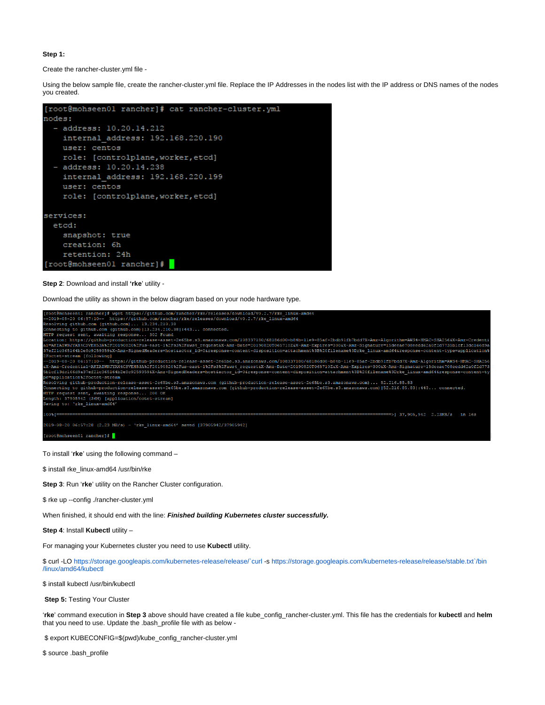#### **Step 1:**

Create the rancher-cluster.yml file -

Using the below sample file, create the rancher-cluster.yml file. Replace the IP Addresses in the nodes list with the IP address or DNS names of the nodes you created.



**Step 2**: Download and install **'rke**' utility -

Download the utility as shown in the below diagram based on your node hardware type.



To install '**rke**' using the following command –

\$ install rke\_linux-amd64 /usr/bin/rke

**Step 3**: Run '**rke**' utility on the Rancher Cluster configuration.

\$ rke up --config ./rancher-cluster.yml

When finished, it should end with the line: **Finished building Kubernetes cluster successfully.**

**Step 4**: Install **Kubectl** utility –

For managing your Kubernetes cluster you need to use **Kubectl** utility.

\$ curl -LO<https://storage.googleapis.com/kubernetes-release/release/`curl>-s [https://storage.googleapis.com/kubernetes-release/release/stable.txt`/bin](https://storage.googleapis.com/kubernetes-release/release/stable.txt%60/bin/linux/amd64/kubectl) [/linux/amd64/kubectl](https://storage.googleapis.com/kubernetes-release/release/stable.txt%60/bin/linux/amd64/kubectl)

\$ install kubectl /usr/bin/kubectl

**Step 5: Testing Your Cluster** 

'**rke**' command execution in **Step 3** above should have created a file kube\_config\_rancher-cluster.yml. This file has the credentials for **kubectl** and **helm** that you need to use. Update the .bash\_profile file with as below -

\$ export KUBECONFIG=\$(pwd)/kube\_config\_rancher-cluster.yml

\$ source .bash\_profile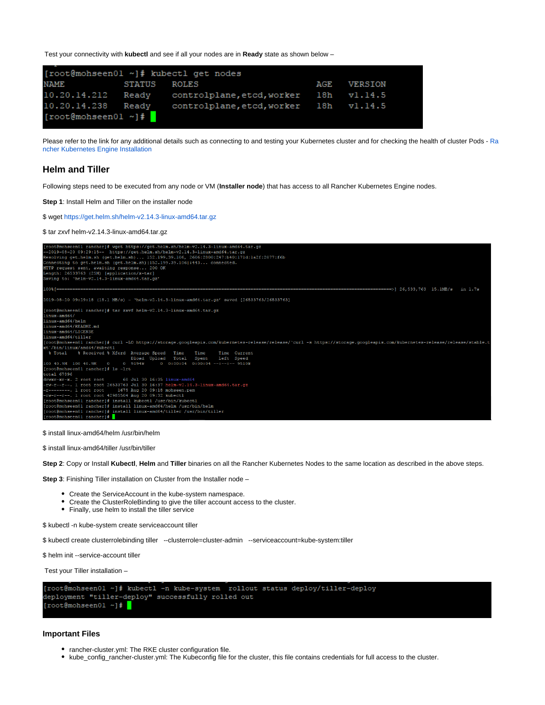Test your connectivity with **kubectl** and see if all your nodes are in **Ready** state as shown below –

| [root@mohseen01 ~]# kubectl get nodes |               |                                        |      |                |  |  |  |
|---------------------------------------|---------------|----------------------------------------|------|----------------|--|--|--|
| <b>NAME</b>                           | <b>STATUS</b> | ROLES                                  | AGE. | <b>VERSION</b> |  |  |  |
| 10.20.14.212 Ready                    |               | controlplane, etcd, worker             |      | 18h v1.14.5    |  |  |  |
| 10.20.14.238 Ready                    |               | controlplane, etcd, worker 18h vl.14.5 |      |                |  |  |  |
| $[root@mohseen01 -1]$ #               |               |                                        |      |                |  |  |  |

Please refer to the link for any additional details such as connecting to and testing your Kubernetes cluster and for checking the health of cluster Pods - [Ra](https://rancher.com/docs/rancher/v2.x/en/installation/ha/kubernetes-rke/) [ncher Kubernetes Engine Installation](https://rancher.com/docs/rancher/v2.x/en/installation/ha/kubernetes-rke/)

#### **Helm and Tiller**

Following steps need to be executed from any node or VM (**Installer node**) that has access to all Rancher Kubernetes Engine nodes.

**Step 1**: Install Helm and Tiller on the installer node

\$ wget<https://get.helm.sh/helm-v2.14.3-linux-amd64.tar.gz>

\$ tar zxvf helm-v2.14.3-linux-amd64.tar.gz



\$ install linux-amd64/helm /usr/bin/helm

\$ install linux-amd64/tiller /usr/bin/tiller

**Step 2**: Copy or Install **Kubectl**, **Helm** and **Tiller** binaries on all the Rancher Kubernetes Nodes to the same location as described in the above steps.

**Step 3**: Finishing Tiller installation on Cluster from the Installer node –

- Create the ServiceAccount in the kube-system namespace.
- Create the ClusterRoleBinding to give the tiller account access to the cluster.
- Finally, use helm to install the tiller service

\$ kubectl -n kube-system create serviceaccount tiller

\$ kubectl create clusterrolebinding tiller --clusterrole=cluster-admin --serviceaccount=kube-system:tiller

\$ helm init --service-account tiller

Test your Tiller installation –

|                           |  |                                                    |  | [root@mohseen01 ~]# kubectl -n kube-system _rollout status deplov/tiller-deplov |  |
|---------------------------|--|----------------------------------------------------|--|---------------------------------------------------------------------------------|--|
|                           |  | deployment "tiller-deploy" successfully rolled out |  |                                                                                 |  |
| $[root@monseen01 \sim]$ # |  |                                                    |  |                                                                                 |  |

#### **Important Files**

- rancher-cluster.yml: The RKE cluster configuration file.
- kube\_config\_rancher-cluster.yml: The Kubeconfig file for the cluster, this file contains credentials for full access to the cluster.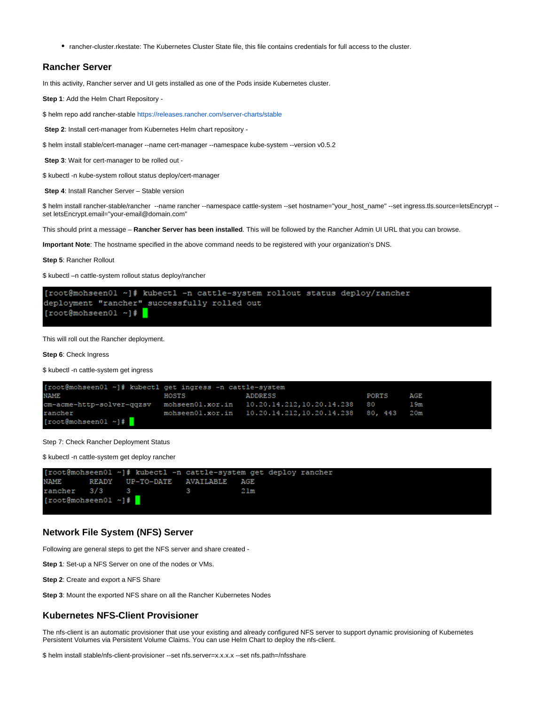rancher-cluster.rkestate: The Kubernetes Cluster State file, this file contains credentials for full access to the cluster.

### **Rancher Server**

In this activity, Rancher server and UI gets installed as one of the Pods inside Kubernetes cluster.

**Step 1**: Add the Helm Chart Repository -

\$ helm repo add rancher-stable<https://releases.rancher.com/server-charts/stable>

**Step 2**: Install cert-manager from Kubernetes Helm chart repository -

\$ helm install stable/cert-manager --name cert-manager --namespace kube-system --version v0.5.2

**Step 3**: Wait for cert-manager to be rolled out -

\$ kubectl -n kube-system rollout status deploy/cert-manager

**Step 4**: Install Rancher Server – Stable version

\$ helm install rancher-stable/rancher --name rancher --namespace cattle-system --set hostname="your\_host\_name" --set ingress.tls.source=letsEncrypt - set letsEncrypt.email="your-email@domain.com"

This should print a message – **Rancher Server has been installed**. This will be followed by the Rancher Admin UI URL that you can browse.

**Important Note**: The hostname specified in the above command needs to be registered with your organization's DNS.

**Step 5**: Rancher Rollout

\$ kubectl –n cattle-system rollout status deploy/rancher



This will roll out the Rancher deployment.

**Step 6**: Check Ingress

\$ kubectl -n cattle-system get ingress

```
[root@mohseen01 ~]# kubectl get ingress -n cattle-system
NAME
                                                                                  PORTS
                              HOSTS
                                                   ADDRESS
                                                                                             AGE
m-acme-http-solver-qqzsv
                              mohseen01.xor.in
                                                   10.20.14.212,10.20.14.238
                                                                                  80
                                                                                             19mancher:
                              mohseen01.xor.in
                                                   10.20.14.212, 10.20.14.238
                                                                                  80, 443
                                                                                             20m[root@mohseen01 ~]# <mark>]</mark>
```
Step 7: Check Rancher Deployment Status

\$ kubectl -n cattle-system get deploy rancher



#### **Network File System (NFS) Server**

Following are general steps to get the NFS server and share created -

**Step 1**: Set-up a NFS Server on one of the nodes or VMs.

**Step 2**: Create and export a NFS Share

**Step 3**: Mount the exported NFS share on all the Rancher Kubernetes Nodes

#### **Kubernetes NFS-Client Provisioner**

The nfs-client is an automatic provisioner that use your existing and already configured NFS server to support dynamic provisioning of Kubernetes Persistent Volumes via Persistent Volume Claims. You can use Helm Chart to deploy the nfs-client.

\$ helm install stable/nfs-client-provisioner --set nfs.server=x.x.x.x --set nfs.path=/nfsshare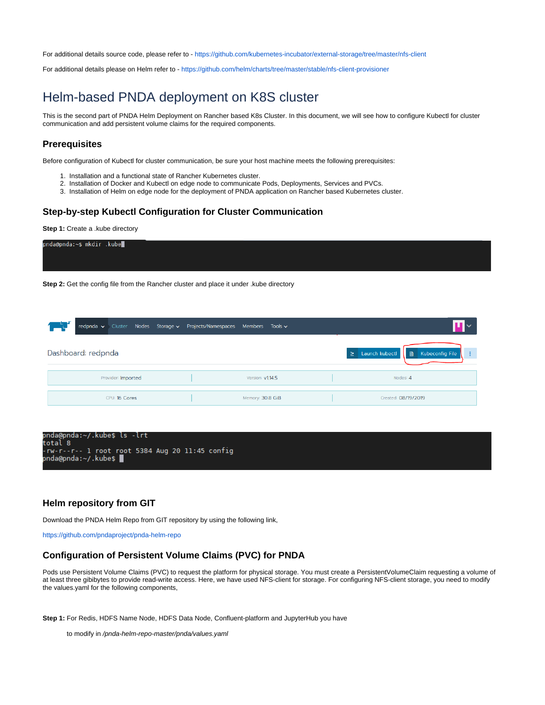For additional details source code, please refer to - <https://github.com/kubernetes-incubator/external-storage/tree/master/nfs-client>

For additional details please on Helm refer to - <https://github.com/helm/charts/tree/master/stable/nfs-client-provisioner>

# Helm-based PNDA deployment on K8S cluster

This is the second part of PNDA Helm Deployment on Rancher based K8s Cluster. In this document, we will see how to configure Kubectl for cluster communication and add persistent volume claims for the required components.

#### **Prerequisites**

Before configuration of Kubectl for cluster communication, be sure your host machine meets the following prerequisites:

- 1. Installation and a functional state of Rancher Kubernetes cluster.
- 2. Installation of Docker and Kubectl on edge node to communicate Pods, Deployments, Services and PVCs.
- 3. Installation of Helm on edge node for the deployment of PNDA application on Rancher based Kubernetes cluster.

## **Step-by-step Kubectl Configuration for Cluster Communication**

**Step 1:** Create a .kube directory



**Step 2:** Get the config file from the Rancher cluster and place it under .kube directory

|                    |  | redpnda v Cluster Nodes Storage v Projects/Namespaces Members Tools v |                  |                                                                    |
|--------------------|--|-----------------------------------------------------------------------|------------------|--------------------------------------------------------------------|
| Dashboard: redpnda |  |                                                                       |                  | Launch kubectl<br>Kubeconfig File<br>$\geq$<br>目<br>$\blacksquare$ |
| Provider: Imported |  |                                                                       | Version: v1.14.5 | Nodes: 4                                                           |
| CPU: 16 Cores      |  |                                                                       | Memory: 30.8 GiB | Created: 08/19/2019                                                |



#### **Helm repository from GIT**

Download the PNDA Helm Repo from GIT repository by using the following link,

<https://github.com/pndaproject/pnda-helm-repo>

# **Configuration of Persistent Volume Claims (PVC) for PNDA**

Pods use Persistent Volume Claims (PVC) to request the platform for physical storage. You must create a PersistentVolumeClaim requesting a volume of at least three gibibytes to provide read-write access. Here, we have used NFS-client for storage. For configuring NFS-client storage, you need to modify the values.yaml for the following components,

**Step 1:** For Redis, HDFS Name Node, HDFS Data Node, Confluent-platform and JupyterHub you have

to modify in /pnda-helm-repo-master/pnda/values.yaml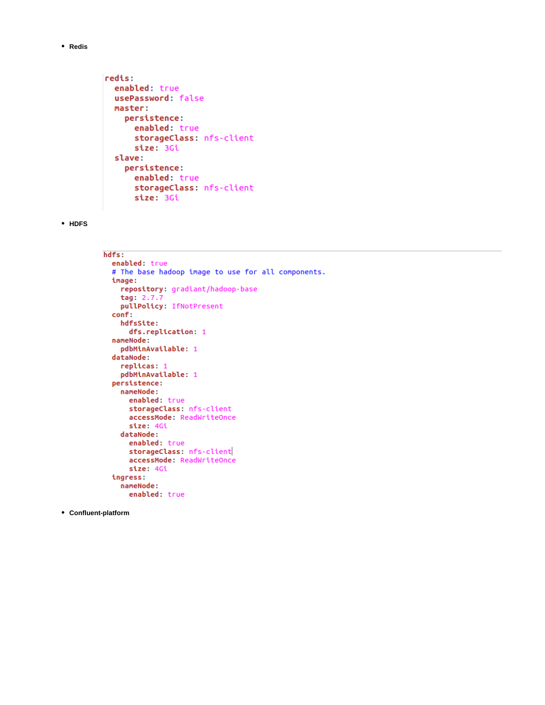**Redis**

```
redis:
 enabled: true
 usePassword: false
 master:
   persistence:
     enabled: true
     storageClass: nfs-client
     size: 3Gi
 slave:
   persistence:
     enabled: true
     storageClass: nfs-client
     size: 3Gi
```
#### **HDFS**

```
hdfs:
  enabled: true
  # The base hadoop image to use for all components.
 image:
   repository: gradiant/hadoop-base
   tag: 2.7pullPolicy: IfNotPresent
  conf:
   hdfsSite:
      dfs.replication: 1
  nameNode:
   pdbMinAvailable: 1
  dataNode:
   replicas: 1
   pdbMinAvailable: 1
  persistence:
   nameNode:
      enabled: true
      storageClass: nfs-client
      accessMode: ReadWriteOnce
      size: 4Gi
   dataNode:
      enabled: true
      storageClass: nfs-client
      accessMode: ReadWriteOnce
      size: 4Gi
  ingress:
   nameNode:
      enabled: true
```
#### **Confluent-platform**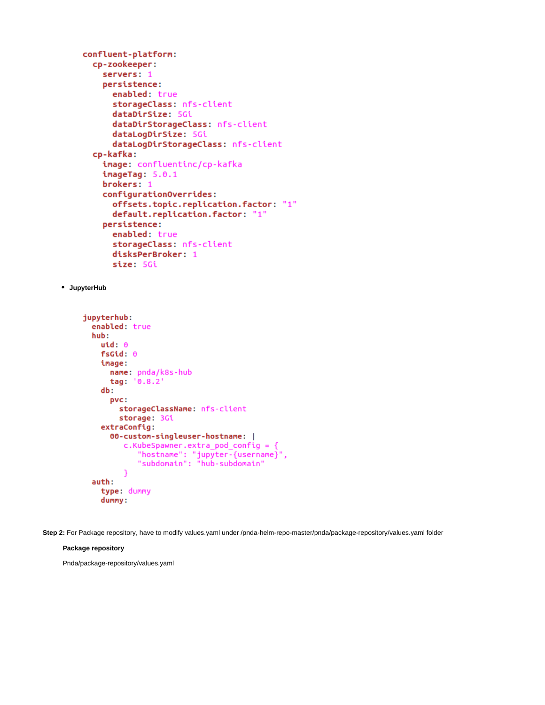```
confluent-platform:
  cp-zookeeper:
    servers: 1
    persistence:
      enabled: true
      storageClass: nfs-client
      dataDirSize: 5Gi
      dataDirStorageClass: nfs-client
      dataLogDirSize: 5Gi
      dataLogDirStorageClass: nfs-client
  cp-kafka:
    image: confluentinc/cp-kafka
    imageTag: 5.0.1
    brokers: 1
    configurationOverrides:
      offsets.topic.replication.factor: "1"
      default.replication.factor: "1"
    persistence:
      enabled: true
      storageClass: nfs-client
      disksPerBroker: 1
      size: 5Gi
```
#### **JupyterHub**

```
jupyterhub:
  enabled: true
  hub:
    uid: 0fsGid: 0
    image:
      name: pnda/k8s-hub
      tag: '0.8.2'
    db:
      pvc:
         storageClassName: nfs-client
         storage: 3Gi
    extraConfig:
      00-custom-singleuser-hostname: |
          c.Kubespawner. extra_pod\_config = {"hostname": "jupyter-{username}",<br>"subdomain": "hub-subdomain"
          ٦
  auth:
    type: dummy
    dummy:
```
**Step 2:** For Package repository, have to modify values.yaml under /pnda-helm-repo-master/pnda/package-repository/values.yaml folder

#### **Package repository**

Pnda/package-repository/values.yaml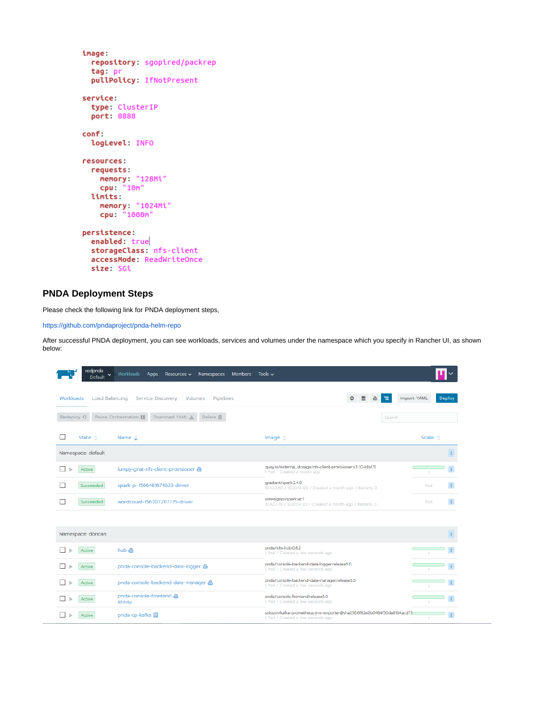```
image:
 repository: sgopired/packrep
 tag: pr
 pullPolicy: IfNotPresent
service:
 type: ClusterIP
 port: 8888
conf:
 logLevel: INFO
resources:
 requests:
   memory: "128Mi"
   cpu: "10m"
 limits:
   memory: "1024Mi"
   cpu: "1000m"
persistence:
 enabled: true
 storageClass: nfs-client
 accessMode: ReadWriteOnce
 size: 5Gi
```
## **PNDA Deployment Steps**

Please check the following link for PNDA deployment steps,

<https://github.com/pndaproject/pnda-helm-repo>

After successful PNDA deployment, you can see workloads, services and volumes under the namespace which you specify in Rancher UI, as shown below:

| redpnda<br><b>Default</b> | Workloads<br>Members Tools $\sim$<br>Apps<br>Resources $\vee$<br>Namespaces |                                                                                                             |                       |
|---------------------------|-----------------------------------------------------------------------------|-------------------------------------------------------------------------------------------------------------|-----------------------|
| Workloads                 | Load Balancing Service Discovery Volumes Pipelines                          | Θ                                                                                                           | Import YAML<br>Deploy |
| Redeploy の                | Download YAML 也<br>Pause Orchestration<br>Delete 宜                          | Search                                                                                                      |                       |
| State $\diamond$          | Name $\hat{\mathbf{C}}$                                                     | Image $\Diamond$                                                                                            | Scale $\diamond$      |
| Namespace: default        |                                                                             |                                                                                                             |                       |
| Active                    | lumpy-qnat-nfs-client-provisioner                                           | quay.io/external_storage/nfs-client-provisioner:v3.1.0-k8s1.11<br>1 Pod / Created a month ago               |                       |
| Succeeded                 | spark-pi-1566481674623-driver                                               | gradiant/spark:2.4.0<br>10.42.3.60 / 10.20.14.123 / Created a month ago / Restarts 0                        | Pod                   |
| Succeeded                 | wordcount-1567072117775-driver                                              | sreenigopi/spark:wc1<br>10.42.3.78 / 10.20.14.123 / Created a month ago / Restarts 0                        | $\pm$<br>Pod          |
|                           |                                                                             |                                                                                                             |                       |
| Namespace: doncan         |                                                                             |                                                                                                             |                       |
| Active                    | hub &                                                                       | pnda/k8s-hub:0.8.2<br>1 Pod / Created a few seconds ago                                                     |                       |
| Active                    | pnda-console-backend-data-logger &                                          | pnda/console-backend-data-logger:release5.0<br>1 Pod / Created a few seconds ago                            |                       |
| Active                    | pnda-console-backend-data-manager &                                         | pnda/console-backend-data-manager:release5.0<br>1 Pod / Created a few seconds ago                           |                       |
| Active                    | pnda-console-frontend &<br>80/http                                          | pnda/console-frontend:release5.0<br>1 Pod / Created a few seconds ago                                       |                       |
| Active                    | pnda-cp-kafka a                                                             | solsson/kafka-prometheus-jmx-exporter@sha256:6f82e2b0464f50da8104acd73<br>1 Pod / Created a few seconds ago |                       |